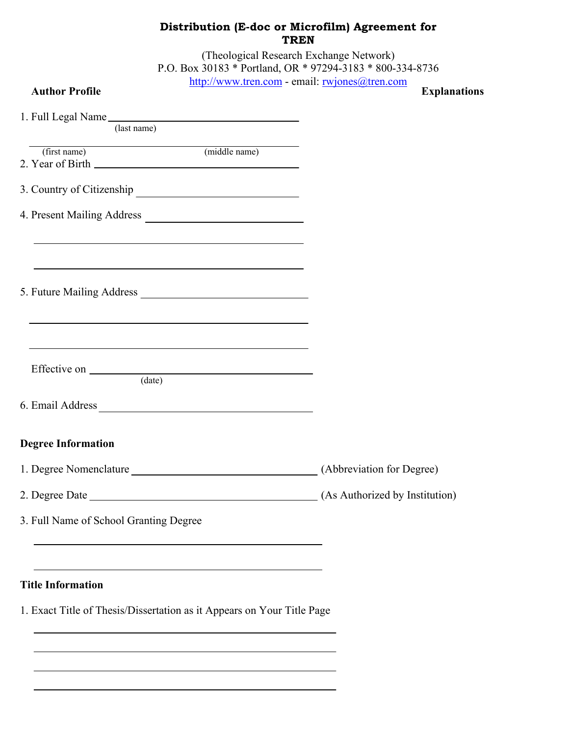| Distribution (E-doc or Microfilm) Agreement for<br><b>TREN</b> |                                                                                                                                                                                                                               |                                                                                                      |  |
|----------------------------------------------------------------|-------------------------------------------------------------------------------------------------------------------------------------------------------------------------------------------------------------------------------|------------------------------------------------------------------------------------------------------|--|
|                                                                |                                                                                                                                                                                                                               | (Theological Research Exchange Network)<br>P.O. Box 30183 * Portland, OR * 97294-3183 * 800-334-8736 |  |
| <b>Author Profile</b>                                          | http://www.tren.com - email: rwjones@tren.com                                                                                                                                                                                 | <b>Explanations</b>                                                                                  |  |
|                                                                | 1. Full Legal Name<br>(last name)                                                                                                                                                                                             |                                                                                                      |  |
| (first name)                                                   | (middle name)                                                                                                                                                                                                                 |                                                                                                      |  |
|                                                                |                                                                                                                                                                                                                               |                                                                                                      |  |
|                                                                | 3. Country of Citizenship                                                                                                                                                                                                     |                                                                                                      |  |
|                                                                |                                                                                                                                                                                                                               |                                                                                                      |  |
|                                                                |                                                                                                                                                                                                                               |                                                                                                      |  |
|                                                                | the control of the control of the control of the control of the control of the control of the control of the control of the control of the control of the control of the control of the control of the control of the control |                                                                                                      |  |
|                                                                | <u> 1989 - Andrea Stadt Britain, amerikansk politiker (d. 1989)</u><br><u> 1989 - Johann Stoff, deutscher Stoffen und der Stoffen und der Stoffen und der Stoffen und der Stoffen und der</u><br>(data)                       |                                                                                                      |  |
| 6. Email Address                                               |                                                                                                                                                                                                                               |                                                                                                      |  |
| <b>Degree Information</b>                                      |                                                                                                                                                                                                                               |                                                                                                      |  |
|                                                                |                                                                                                                                                                                                                               |                                                                                                      |  |
|                                                                |                                                                                                                                                                                                                               |                                                                                                      |  |
|                                                                | 3. Full Name of School Granting Degree                                                                                                                                                                                        |                                                                                                      |  |
|                                                                | the control of the control of the control of the control of the control of the control of the control of the control of the control of the control of the control of the control of the control of the control of the control |                                                                                                      |  |
| <b>Title Information</b>                                       |                                                                                                                                                                                                                               |                                                                                                      |  |
|                                                                | 1. Exact Title of Thesis/Dissertation as it Appears on Your Title Page                                                                                                                                                        |                                                                                                      |  |
|                                                                |                                                                                                                                                                                                                               |                                                                                                      |  |